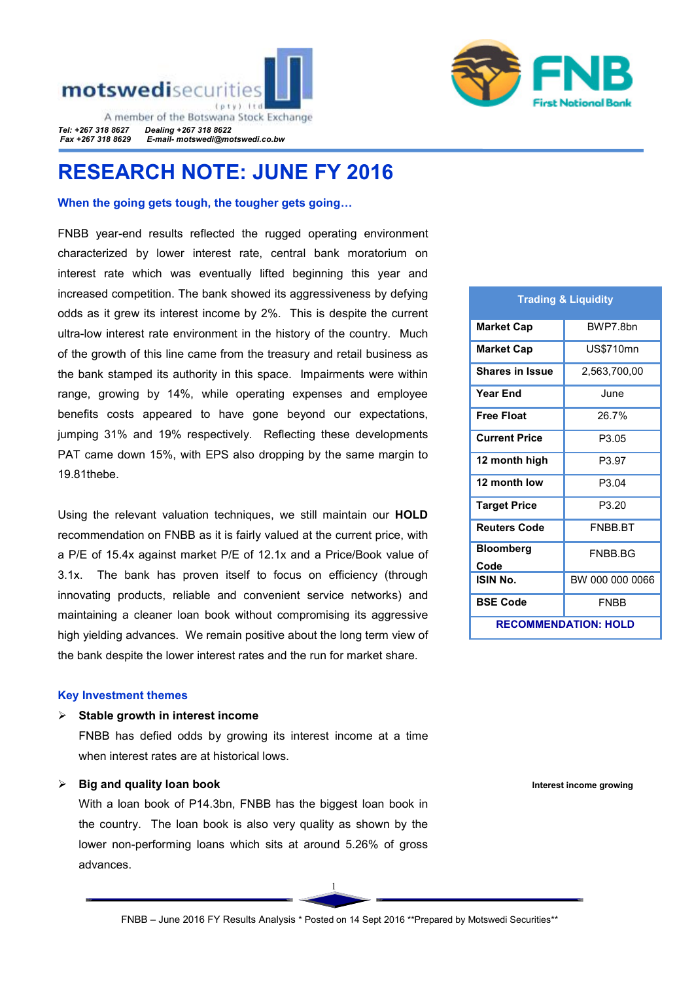



A member of the Botswana Stock Exchange *Tel: +267 318 8627 Dealing +267 318 8622 Fax +267 318 8629 E-mail- motswedi@motswedi.co.bw* 

# RESEARCH NOTE: JUNE FY 2016

#### When the going gets tough, the tougher gets going...

FNBB year-end results reflected the rugged operating environment characterized by lower interest rate, central bank moratorium on interest rate which was eventually lifted beginning this year and increased competition. The bank showed its aggressiveness by defying odds as it grew its interest income by 2%. This is despite the current ultra-low interest rate environment in the history of the country. Much of the growth of this line came from the treasury and retail business as the bank stamped its authority in this space. Impairments were within range, growing by 14%, while operating expenses and employee benefits costs appeared to have gone beyond our expectations, jumping 31% and 19% respectively. Reflecting these developments PAT came down 15%, with EPS also dropping by the same margin to 19.81thebe.

Using the relevant valuation techniques, we still maintain our HOLD recommendation on FNBB as it is fairly valued at the current price, with a P/E of 15.4x against market P/E of 12.1x and a Price/Book value of 3.1x.The bank has proven itself to focus on efficiency (through innovating products, reliable and convenient service networks) and maintaining a cleaner loan book without compromising its aggressive high yielding advances. We remain positive about the long term view of the bank despite the lower interest rates and the run for market share.

#### Key Investment themes

#### Stable growth in interest income

FNBB has defied odds by growing its interest income at a time when interest rates are at historical lows.

## $\triangleright$  Big and quality loan book

With a loan book of P14.3bn, FNBB has the biggest loan book in the country. The loan book is also very quality as shown by the lower non-performing loans which sits at around 5.26% of gross advances.

| <b>Market Cap</b>           | BWP7.8bn        |  |  |  |
|-----------------------------|-----------------|--|--|--|
| Market Cap                  | US\$710mn       |  |  |  |
| <b>Shares in Issue</b>      | 2,563,700,00    |  |  |  |
| <b>Year End</b>             | June            |  |  |  |
| <b>Free Float</b>           | 26.7%           |  |  |  |
| <b>Current Price</b>        | P3.05           |  |  |  |
| 12 month high               | P3.97           |  |  |  |
| 12 month low                | P3.04           |  |  |  |
| <b>Target Price</b>         | P3.20           |  |  |  |
| <b>Reuters Code</b>         | <b>FNBB BT</b>  |  |  |  |
| <b>Bloomberg</b>            | FNBB BG         |  |  |  |
| Code                        |                 |  |  |  |
| ISIN No.                    | BW 000 000 0066 |  |  |  |
| <b>BSE Code</b>             | <b>FNBB</b>     |  |  |  |
| <b>RECOMMENDATION: HOLD</b> |                 |  |  |  |

Trading & Liquidity

Interest income growing

1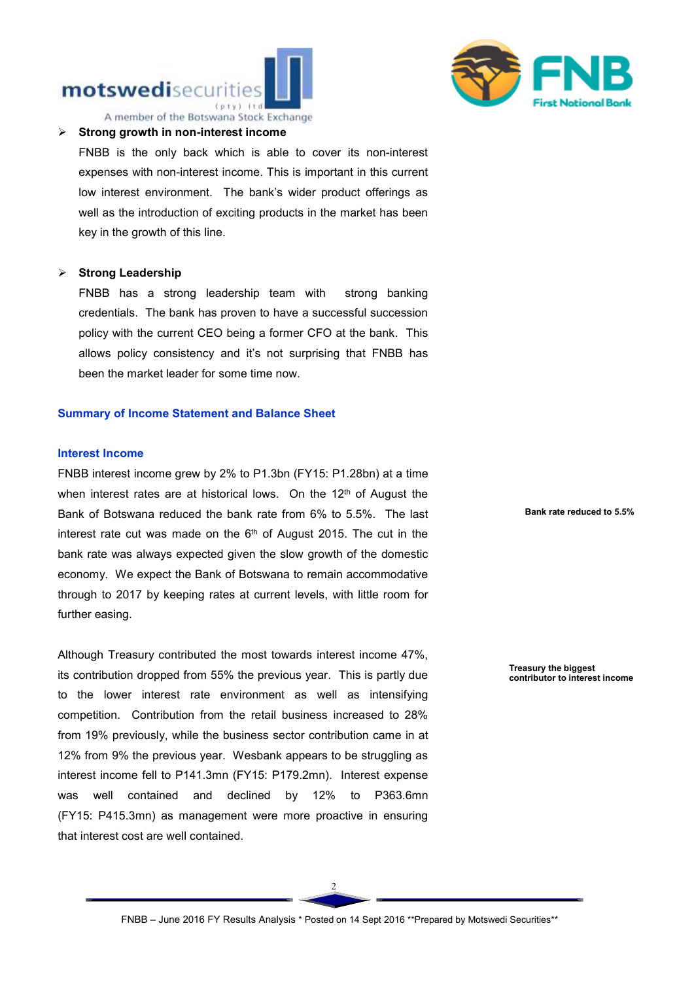## motswedisecuritie  $t$ ntui $t$ ir



#### $\triangleright$  Strong growth in non-interest income

FNBB is the only back which is able to cover its non-interest expenses with non-interest income. This is important in this current low interest environment. The bank's wider product offerings as well as the introduction of exciting products in the market has been key in the growth of this line.

#### $\triangleright$  Strong Leadership

FNBB has a strong leadership team with strong banking credentials. The bank has proven to have a successful succession policy with the current CEO being a former CFO at the bank. This allows policy consistency and it's not surprising that FNBB has been the market leader for some time now.

#### Summary of Income Statement and Balance Sheet

## Interest Income

FNBB interest income grew by 2% to P1.3bn (FY15: P1.28bn) at a time when interest rates are at historical lows. On the  $12<sup>th</sup>$  of August the Bank of Botswana reduced the bank rate from 6% to 5.5%. The last interest rate cut was made on the  $6<sup>th</sup>$  of August 2015. The cut in the bank rate was always expected given the slow growth of the domestic economy. We expect the Bank of Botswana to remain accommodative through to 2017 by keeping rates at current levels, with little room for further easing.

Although Treasury contributed the most towards interest income 47%, its contribution dropped from 55% the previous year. This is partly due to the lower interest rate environment as well as intensifying competition. Contribution from the retail business increased to 28% from 19% previously, while the business sector contribution came in at 12% from 9% the previous year. Wesbank appears to be struggling as interest income fell to P141.3mn (FY15: P179.2mn). Interest expense was well contained and declined by 12% to P363.6mn (FY15: P415.3mn) as management were more proactive in ensuring that interest cost are well contained.

Bank rate reduced to 5.5%

 Treasury the biggest contributor to interest income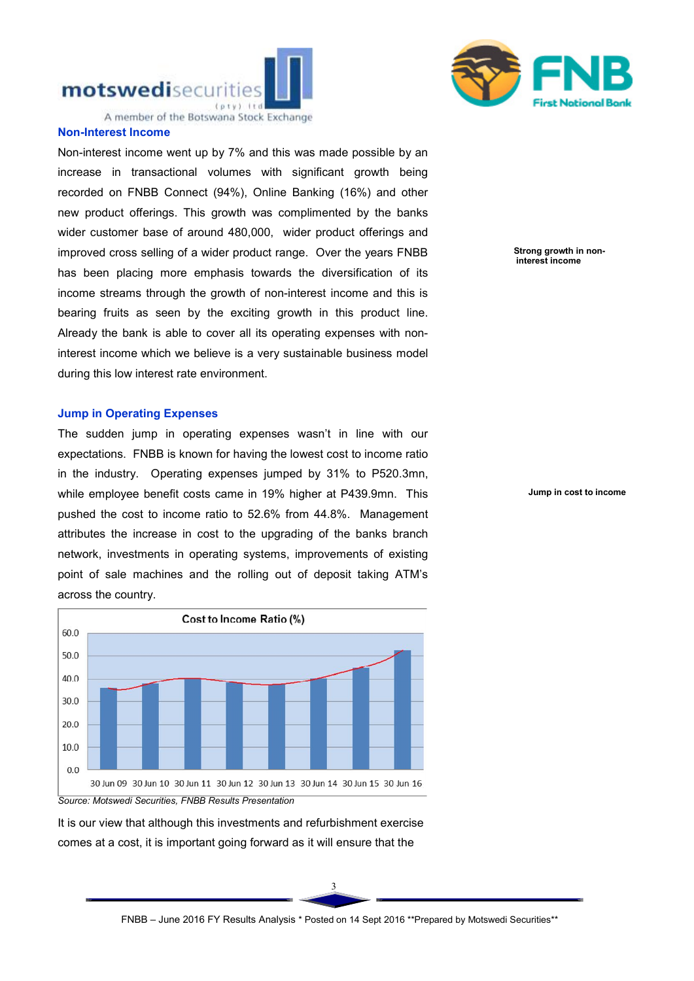



A member of the Botswana Stock Exchange

## Non-Interest Income

Non-interest income went up by 7% and this was made possible by an increase in transactional volumes with significant growth being recorded on FNBB Connect (94%), Online Banking (16%) and other new product offerings. This growth was complimented by the banks wider customer base of around 480,000, wider product offerings and improved cross selling of a wider product range. Over the years FNBB has been placing more emphasis towards the diversification of its income streams through the growth of non-interest income and this is bearing fruits as seen by the exciting growth in this product line. Already the bank is able to cover all its operating expenses with noninterest income which we believe is a very sustainable business model during this low interest rate environment.

## Jump in Operating Expenses

The sudden jump in operating expenses wasn't in line with our expectations. FNBB is known for having the lowest cost to income ratio in the industry. Operating expenses jumped by 31% to P520.3mn, while employee benefit costs came in 19% higher at P439.9mn. This pushed the cost to income ratio to 52.6% from 44.8%. Management attributes the increase in cost to the upgrading of the banks branch network, investments in operating systems, improvements of existing point of sale machines and the rolling out of deposit taking ATM's across the country.



*Source: Motswedi Securities, FNBB Results Presentation*

It is our view that although this investments and refurbishment exercise comes at a cost, it is important going forward as it will ensure that the



Jump in cost to income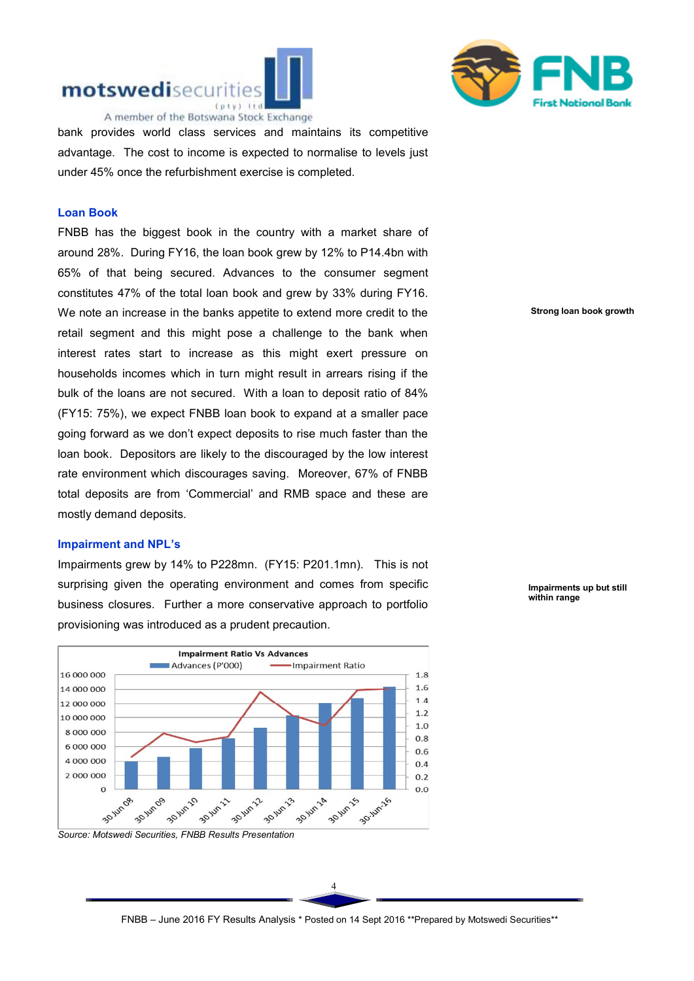



bank provides world class services and maintains its competitive advantage. The cost to income is expected to normalise to levels just under 45% once the refurbishment exercise is completed.

## Loan Book

FNBB has the biggest book in the country with a market share of around 28%. During FY16, the loan book grew by 12% to P14.4bn with 65% of that being secured. Advances to the consumer segment constitutes 47% of the total loan book and grew by 33% during FY16. We note an increase in the banks appetite to extend more credit to the retail segment and this might pose a challenge to the bank when interest rates start to increase as this might exert pressure on households incomes which in turn might result in arrears rising if the bulk of the loans are not secured. With a loan to deposit ratio of 84% (FY15: 75%), we expect FNBB loan book to expand at a smaller pace going forward as we don't expect deposits to rise much faster than the loan book. Depositors are likely to the discouraged by the low interest rate environment which discourages saving. Moreover, 67% of FNBB total deposits are from 'Commercial' and RMB space and these are mostly demand deposits.

#### Impairment and NPL's

Impairments grew by 14% to P228mn. (FY15: P201.1mn). This is not surprising given the operating environment and comes from specific business closures. Further a more conservative approach to portfolio provisioning was introduced as a prudent precaution.



*Source: Motswedi Securities, FNBB Results Presentation*

Strong loan book growth

 Impairments up but still within range

4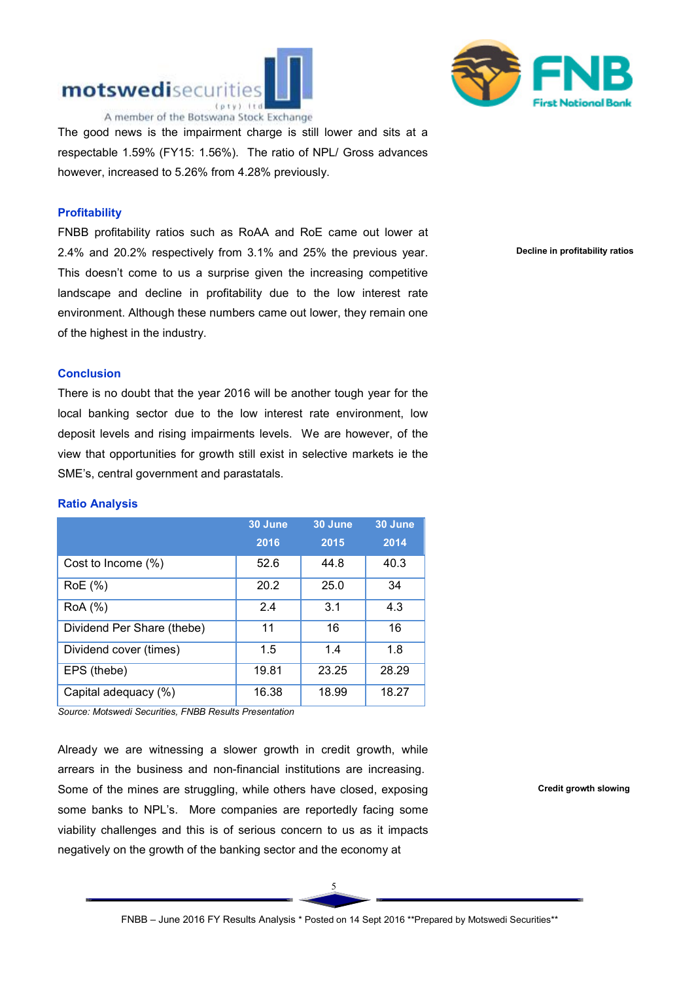



 $\overline{a}$ The good news is the impairment charge is still lower and sits at a respectable 1.59% (FY15: 1.56%). The ratio of NPL/ Gross advances however, increased to 5.26% from 4.28% previously.

## **Profitability**

FNBB profitability ratios such as RoAA and RoE came out lower at 2.4% and 20.2% respectively from 3.1% and 25% the previous year. This doesn't come to us a surprise given the increasing competitive landscape and decline in profitability due to the low interest rate environment. Although these numbers came out lower, they remain one of the highest in the industry.

Decline in profitability ratios

#### **Conclusion**

There is no doubt that the year 2016 will be another tough year for the local banking sector due to the low interest rate environment, low deposit levels and rising impairments levels. We are however, of the view that opportunities for growth still exist in selective markets ie the SME's, central government and parastatals.

#### Ratio Analysis

|                            | 30 June  | 30 June | 30 June |  |
|----------------------------|----------|---------|---------|--|
|                            | 2016     | 2015    | 2014    |  |
| Cost to Income (%)         | 52.6     | 44.8    | 40.3    |  |
| RoE (%)                    | 20.2     | 25.0    | 34      |  |
| RoA (%)                    | 2.4      | 3.1     | 4.3     |  |
| Dividend Per Share (thebe) | 11<br>16 |         | 16      |  |
| Dividend cover (times)     | 1.5      | 1.4     | 1.8     |  |
| EPS (thebe)                | 19.81    | 23.25   | 28.29   |  |
| Capital adequacy (%)       | 16.38    | 18.99   | 18.27   |  |

*Source: Motswedi Securities, FNBB Results Presentation*

Already we are witnessing a slower growth in credit growth, while arrears in the business and non-financial institutions are increasing. Some of the mines are struggling, while others have closed, exposing some banks to NPL's. More companies are reportedly facing some viability challenges and this is of serious concern to us as it impacts negatively on the growth of the banking sector and the economy at

Credit growth slowing

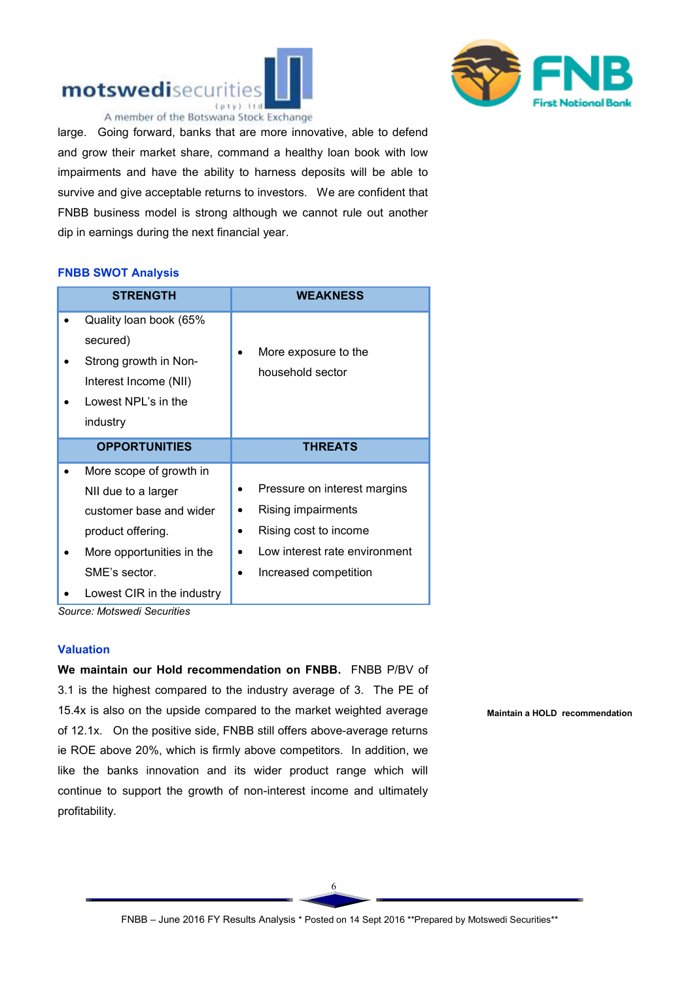



large. Going forward, banks that are more innovative, able to defend and grow their market share, command a healthy loan book with low impairments and have the ability to harness deposits will be able to survive and give acceptable returns to investors. We are confident that FNBB business model is strong although we cannot rule out another dip in earnings during the next financial year.

#### FNBB SWOT Analysis

| <b>STRENGTH</b>                                                                                                                              |   | <b>WEAKNESS</b>                                                                                                                       |
|----------------------------------------------------------------------------------------------------------------------------------------------|---|---------------------------------------------------------------------------------------------------------------------------------------|
| Quality loan book (65%<br>secured)<br>Strong growth in Non-<br>Interest Income (NII)<br>Lowest NPL's in the<br>industry                      |   | More exposure to the<br>household sector                                                                                              |
| <b>OPPORTUNITIES</b>                                                                                                                         |   | <b>THREATS</b>                                                                                                                        |
| More scope of growth in<br>NII due to a larger<br>customer base and wider<br>product offering.<br>More opportunities in the<br>SME's sector. | ٠ | Pressure on interest margins<br>Rising impairments<br>Rising cost to income<br>Low interest rate environment<br>Increased competition |
| Lowest CIR in the industry                                                                                                                   |   |                                                                                                                                       |

*Source: Motswedi Securities*

## Valuation

We maintain our Hold recommendation on FNBB. FNBB P/BV of 3.1 is the highest compared to the industry average of 3. The PE of 15.4x is also on the upside compared to the market weighted average of 12.1x. On the positive side, FNBB still offers above-average returns ie ROE above 20%, which is firmly above competitors. In addition, we like the banks innovation and its wider product range which will continue to support the growth of non-interest income and ultimately profitability.

Maintain a HOLD recommendation